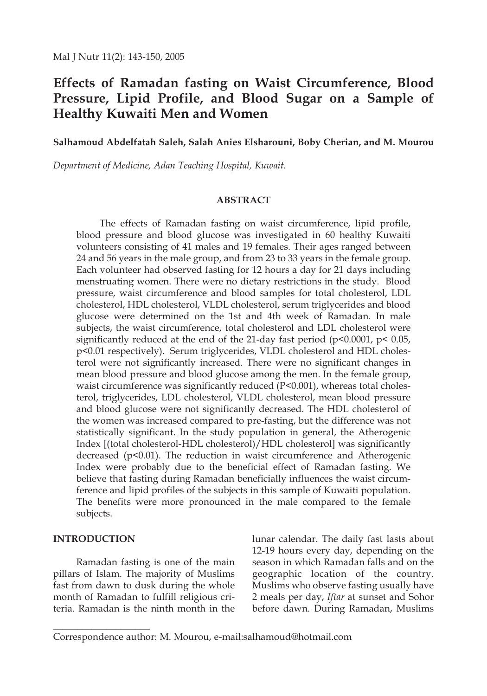# **Effects of Ramadan fasting on Waist Circumference, Blood Pressure, Lipid Profile, and Blood Sugar on a Sample of Healthy Kuwaiti Men and Women**

**Salhamoud Abdelfatah Saleh, Salah Anies Elsharouni, Boby Cherian, and M. Mourou**

*Department of Medicine, Adan Teaching Hospital, Kuwait.*

#### **ABSTRACT**

The effects of Ramadan fasting on waist circumference, lipid profile, blood pressure and blood glucose was investigated in 60 healthy Kuwaiti volunteers consisting of 41 males and 19 females. Their ages ranged between 24 and 56 years in the male group, and from 23 to 33 years in the female group. Each volunteer had observed fasting for 12 hours a day for 21 days including menstruating women. There were no dietary restrictions in the study. Blood pressure, waist circumference and blood samples for total cholesterol, LDL cholesterol, HDL cholesterol, VLDL cholesterol, serum triglycerides and blood glucose were determined on the 1st and 4th week of Ramadan. In male subjects, the waist circumference, total cholesterol and LDL cholesterol were significantly reduced at the end of the 21-day fast period ( $p$ <0.0001,  $p$ < 0.05, p<0.01 respectively). Serum triglycerides, VLDL cholesterol and HDL cholesterol were not significantly increased. There were no significant changes in mean blood pressure and blood glucose among the men. In the female group, waist circumference was significantly reduced (P<0.001), whereas total cholesterol, triglycerides, LDL cholesterol, VLDL cholesterol, mean blood pressure and blood glucose were not significantly decreased. The HDL cholesterol of the women was increased compared to pre-fasting, but the difference was not statistically significant. In the study population in general, the Atherogenic Index [(total cholesterol-HDL cholesterol)/HDL cholesterol] was significantly decreased (p<0.01). The reduction in waist circumference and Atherogenic Index were probably due to the beneficial effect of Ramadan fasting. We believe that fasting during Ramadan beneficially influences the waist circumference and lipid profiles of the subjects in this sample of Kuwaiti population. The benefits were more pronounced in the male compared to the female subjects.

#### **INTRODUCTION**

\_\_\_\_\_\_\_\_\_\_\_\_\_\_\_\_\_\_\_\_

Ramadan fasting is one of the main pillars of Islam. The majority of Muslims fast from dawn to dusk during the whole month of Ramadan to fulfill religious criteria. Ramadan is the ninth month in the

lunar calendar. The daily fast lasts about 12-19 hours every day, depending on the season in which Ramadan falls and on the geographic location of the country. Muslims who observe fasting usually have 2 meals per day, *Iftar* at sunset and Sohor before dawn. During Ramadan, Muslims

Correspondence author: M. Mourou, e-mail:salhamoud@hotmail.com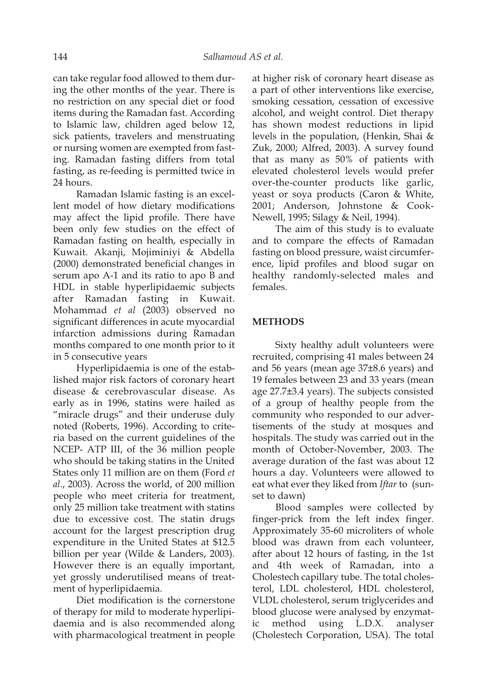can take regular food allowed to them during the other months of the year. There is no restriction on any special diet or food items during the Ramadan fast. According to Islamic law, children aged below 12, sick patients, travelers and menstruating or nursing women are exempted from fasting. Ramadan fasting differs from total fasting, as re-feeding is permitted twice in 24 hours.

Ramadan Islamic fasting is an excellent model of how dietary modifications may affect the lipid profile. There have been only few studies on the effect of Ramadan fasting on health, especially in Kuwait. Akanji, Mojiminiyi & Abdella (2000) demonstrated beneficial changes in serum apo A-1 and its ratio to apo B and HDL in stable hyperlipidaemic subjects after Ramadan fasting in Kuwait. Mohammad *et al* (2003) observed no significant differences in acute myocardial infarction admissions during Ramadan months compared to one month prior to it in 5 consecutive years

Hyperlipidaemia is one of the established major risk factors of coronary heart disease & cerebrovascular disease. As early as in 1996, statins were hailed as "miracle drugs" and their underuse duly noted (Roberts, 1996). According to criteria based on the current guidelines of the NCEP- ATP III, of the 36 million people who should be taking statins in the United States only 11 million are on them (Ford *et al*., 2003). Across the world, of 200 million people who meet criteria for treatment, only 25 million take treatment with statins due to excessive cost. The statin drugs account for the largest prescription drug expenditure in the United States at \$12.5 billion per year (Wilde & Landers, 2003). However there is an equally important, yet grossly underutilised means of treatment of hyperlipidaemia.

Diet modification is the cornerstone of therapy for mild to moderate hyperlipidaemia and is also recommended along with pharmacological treatment in people

at higher risk of coronary heart disease as a part of other interventions like exercise, smoking cessation, cessation of excessive alcohol, and weight control. Diet therapy has shown modest reductions in lipid levels in the population, (Henkin, Shai & Zuk, 2000; Alfred, 2003). A survey found that as many as 50% of patients with elevated cholesterol levels would prefer over-the-counter products like garlic, yeast or soya products (Caron & White, 2001; Anderson, Johnstone & Cook-Newell, 1995; Silagy & Neil, 1994).

The aim of this study is to evaluate and to compare the effects of Ramadan fasting on blood pressure, waist circumference, lipid profiles and blood sugar on healthy randomly-selected males and females.

# **METHODS**

Sixty healthy adult volunteers were recruited, comprising 41 males between 24 and 56 years (mean age 37±8.6 years) and 19 females between 23 and 33 years (mean age 27.7±3.4 years). The subjects consisted of a group of healthy people from the community who responded to our advertisements of the study at mosques and hospitals. The study was carried out in the month of October-November, 2003. The average duration of the fast was about 12 hours a day. Volunteers were allowed to eat what ever they liked from *Iftar* to (sunset to dawn)

Blood samples were collected by finger-prick from the left index finger. Approximately 35-60 microliters of whole blood was drawn from each volunteer, after about 12 hours of fasting, in the 1st and 4th week of Ramadan, into a Cholestech capillary tube. The total cholesterol, LDL cholesterol, HDL cholesterol, VLDL cholesterol, serum triglycerides and blood glucose were analysed by enzymatmethod using L.D.X. analyser (Cholestech Corporation, USA). The total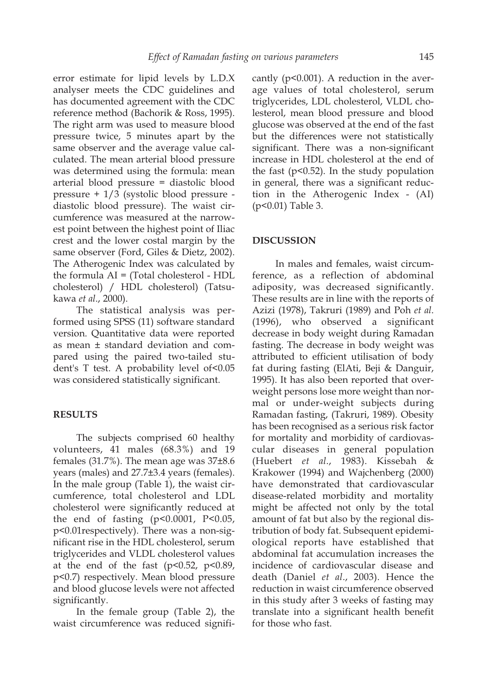error estimate for lipid levels by L.D.X analyser meets the CDC guidelines and has documented agreement with the CDC reference method (Bachorik & Ross, 1995). The right arm was used to measure blood pressure twice, 5 minutes apart by the same observer and the average value calculated. The mean arterial blood pressure was determined using the formula: mean arterial blood pressure = diastolic blood pressure + 1/3 (systolic blood pressure diastolic blood pressure). The waist circumference was measured at the narrowest point between the highest point of Iliac crest and the lower costal margin by the same observer (Ford, Giles & Dietz, 2002). The Atherogenic Index was calculated by the formula AI = (Total cholesterol - HDL cholesterol) / HDL cholesterol) (Tatsukawa *et al*., 2000).

The statistical analysis was performed using SPSS (11) software standard version. Quantitative data were reported as mean ± standard deviation and compared using the paired two-tailed student's T test. A probability level of<0.05 was considered statistically significant.

#### **RESULTS**

The subjects comprised 60 healthy volunteers, 41 males (68.3%) and 19 females (31.7%). The mean age was 37±8.6 years (males) and 27.7±3.4 years (females). In the male group (Table 1), the waist circumference, total cholesterol and LDL cholesterol were significantly reduced at the end of fasting (p<0.0001, P<0.05, p<0.01respectively). There was a non-significant rise in the HDL cholesterol, serum triglycerides and VLDL cholesterol values at the end of the fast ( $p<0.52$ ,  $p<0.89$ , p<0.7) respectively. Mean blood pressure and blood glucose levels were not affected significantly.

In the female group (Table 2), the waist circumference was reduced significantly ( $p$ <0.001). A reduction in the average values of total cholesterol, serum triglycerides, LDL cholesterol, VLDL cholesterol, mean blood pressure and blood glucose was observed at the end of the fast but the differences were not statistically significant. There was a non-significant increase in HDL cholesterol at the end of the fast  $(p<0.52)$ . In the study population in general, there was a significant reduction in the Atherogenic Index - (AI) (p<0.01) Table 3.

# **DISCUSSION**

In males and females, waist circumference, as a reflection of abdominal adiposity, was decreased significantly. These results are in line with the reports of Azizi (1978), Takruri (1989) and Poh *et al*. (1996), who observed a significant decrease in body weight during Ramadan fasting. The decrease in body weight was attributed to efficient utilisation of body fat during fasting (ElAti, Beji & Danguir, 1995). It has also been reported that overweight persons lose more weight than normal or under-weight subjects during Ramadan fasting, (Takruri, 1989). Obesity has been recognised as a serious risk factor for mortality and morbidity of cardiovascular diseases in general population (Huebert *et al*., 1983). Kissebah & Krakower (1994) and Wajchenberg (2000) have demonstrated that cardiovascular disease-related morbidity and mortality might be affected not only by the total amount of fat but also by the regional distribution of body fat. Subsequent epidemiological reports have established that abdominal fat accumulation increases the incidence of cardiovascular disease and death (Daniel *et al*., 2003). Hence the reduction in waist circumference observed in this study after 3 weeks of fasting may translate into a significant health benefit for those who fast.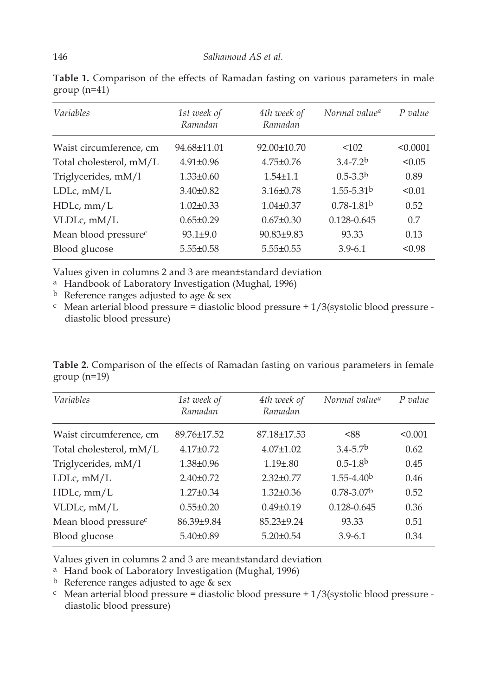| <i>Variables</i>                 | 1st week of<br>Ramadan | 4th week of<br>Ramadan | Normal value <sup>a</sup>  | $P$ value |
|----------------------------------|------------------------|------------------------|----------------------------|-----------|
| Waist circumference, cm          | 94.68±11.01            | 92.00±10.70            | < 102                      | < 0.0001  |
| Total cholesterol, mM/L          | $4.91 \pm 0.96$        | $4.75 \pm 0.76$        | $3.4 - 7.2b$               | < 0.05    |
| Triglycerides, mM/l              | $1.33 \pm 0.60$        | $1.54 \pm 1.1$         | $0.5 - 3.3b$               | 0.89      |
| $LDLc$ , m $M/L$                 | $3.40 \pm 0.82$        | $3.16 \pm 0.78$        | $1.55 - 5.31$ <sup>b</sup> | < 0.01    |
| $HDLc$ , mm/ $L$                 | $1.02 \pm 0.33$        | $1.04\pm0.37$          | $0.78 - 1.81b$             | 0.52      |
| VLDLc, mM/L                      | $0.65 \pm 0.29$        | $0.67 \pm 0.30$        | 0.128-0.645                | 0.7       |
| Mean blood pressure <sup>c</sup> | $93.1 \pm 9.0$         | $90.83 + 9.83$         | 93.33                      | 0.13      |
| Blood glucose                    | $5.55 \pm 0.58$        | $5.55 \pm 0.55$        | $3.9 - 6.1$                | < 0.98    |

**Table 1.** Comparison of the effects of Ramadan fasting on various parameters in male group (n=41)

Values given in columns 2 and 3 are mean±standard deviation

a Handbook of Laboratory Investigation (Mughal, 1996)

<sup>b</sup> Reference ranges adjusted to age & sex  $\frac{c}{c}$  Mean arterial blood pressure = diastolic blood pressure diastolic blood pressure)

**Table 2.** Comparison of the effects of Ramadan fasting on various parameters in female  $group (n=19)$ 

| Variables                        | 1st week of<br>Ramadan | 4th week of<br>Ramadan | Normal value <sup>a</sup> | P value |
|----------------------------------|------------------------|------------------------|---------------------------|---------|
| Waist circumference, cm          | 89.76±17.52            | 87.18±17.53            | < 88                      | < 0.001 |
| Total cholesterol, mM/L          | $4.17 \pm 0.72$        | $4.07 \pm 1.02$        | $3.4 - 5.7b$              | 0.62    |
| Triglycerides, mM/l              | $1.38 \pm 0.96$        | $1.19 \pm .80$         | $0.5 - 1.8b$              | 0.45    |
| $LDLc$ , $mM/L$                  | $2.40 \pm 0.72$        | $2.32 \pm 0.77$        | $1.55 - 4.40b$            | 0.46    |
| $HDLc$ , mm/ $L$                 | $1.27 \pm 0.34$        | $1.32 \pm 0.36$        | $0.78 - 3.07b$            | 0.52    |
| VLDLc, mM/L                      | $0.55 \pm 0.20$        | $0.49 \pm 0.19$        | 0.128-0.645               | 0.36    |
| Mean blood pressure <sup>c</sup> | 86.39±9.84             | $85.23 \pm 9.24$       | 93.33                     | 0.51    |
| Blood glucose                    | $5.40 \pm 0.89$        | $5.20 \pm 0.54$        | $3.9 - 6.1$               | 0.34    |

Values given in columns 2 and 3 are mean±standard deviation

a Hand book of Laboratory Investigation (Mughal, 1996)

<sup>b</sup> Reference ranges adjusted to age & sex  $\frac{c}{c}$  Mean arterial blood pressure = diastolic blood pressure diastolic blood pressure)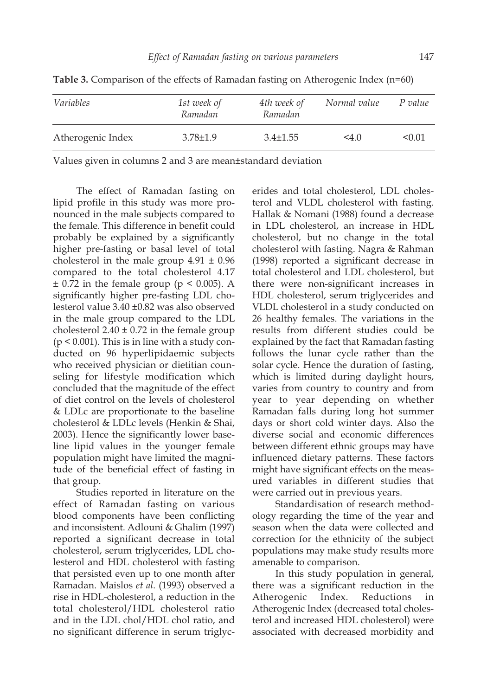| Variables         | 1st week of<br>Ramadan | 4th week of<br>Ramadan | Normal value  | P value |
|-------------------|------------------------|------------------------|---------------|---------|
| Atherogenic Index | $3.78 \pm 1.9$         | $3.4 \pm 1.55$         | $4.0^{\circ}$ | < 0.01  |

**Table 3.** Comparison of the effects of Ramadan fasting on Atherogenic Index (n=60)

Values given in columns 2 and 3 are mean±standard deviation

The effect of Ramadan fasting on lipid profile in this study was more pronounced in the male subjects compared to the female. This difference in benefit could probably be explained by a significantly higher pre-fasting or basal level of total cholesterol in the male group  $4.91 \pm 0.96$ compared to the total cholesterol 4.17  $\pm$  0.72 in the female group (p < 0.005). A significantly higher pre-fasting LDL cholesterol value 3.40 ±0.82 was also observed in the male group compared to the LDL cholesterol  $2.40 \pm 0.72$  in the female group  $(p < 0.001)$ . This is in line with a study conducted on 96 hyperlipidaemic subjects who received physician or dietitian counseling for lifestyle modification which concluded that the magnitude of the effect of diet control on the levels of cholesterol & LDLc are proportionate to the baseline cholesterol & LDLc levels (Henkin & Shai, 2003). Hence the significantly lower baseline lipid values in the younger female population might have limited the magnitude of the beneficial effect of fasting in that group.

Studies reported in literature on the effect of Ramadan fasting on various blood components have been conflicting and inconsistent. Adlouni & Ghalim (1997) reported a significant decrease in total cholesterol, serum triglycerides, LDL cholesterol and HDL cholesterol with fasting that persisted even up to one month after Ramadan. Maislos *et al*. (1993) observed a rise in HDL-cholesterol, a reduction in the total cholesterol/HDL cholesterol ratio and in the LDL chol/HDL chol ratio, and no significant difference in serum triglycerides and total cholesterol, LDL cholesterol and VLDL cholesterol with fasting. Hallak & Nomani (1988) found a decrease in LDL cholesterol, an increase in HDL cholesterol, but no change in the total cholesterol with fasting. Nagra & Rahman (1998) reported a significant decrease in total cholesterol and LDL cholesterol, but there were non-significant increases in HDL cholesterol, serum triglycerides and VLDL cholesterol in a study conducted on 26 healthy females. The variations in the results from different studies could be explained by the fact that Ramadan fasting follows the lunar cycle rather than the solar cycle. Hence the duration of fasting, which is limited during daylight hours, varies from country to country and from year to year depending on whether Ramadan falls during long hot summer days or short cold winter days. Also the diverse social and economic differences between different ethnic groups may have influenced dietary patterns. These factors might have significant effects on the measured variables in different studies that were carried out in previous years.

Standardisation of research methodology regarding the time of the year and season when the data were collected and correction for the ethnicity of the subject populations may make study results more amenable to comparison.

In this study population in general, there was a significant reduction in the Atherogenic Index. Reductions in Atherogenic Index (decreased total cholesterol and increased HDL cholesterol) were associated with decreased morbidity and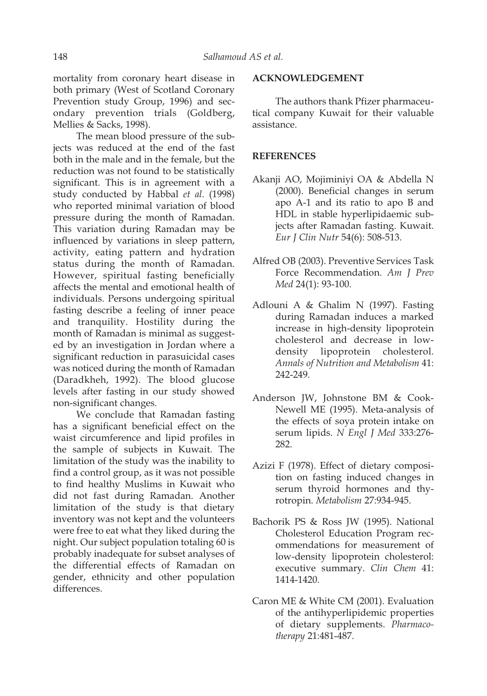mortality from coronary heart disease in both primary (West of Scotland Coronary Prevention study Group, 1996) and secondary prevention trials (Goldberg, Mellies & Sacks, 1998).

The mean blood pressure of the subjects was reduced at the end of the fast both in the male and in the female, but the reduction was not found to be statistically significant. This is in agreement with a study conducted by Habbal *et al*. (1998) who reported minimal variation of blood pressure during the month of Ramadan. This variation during Ramadan may be influenced by variations in sleep pattern, activity, eating pattern and hydration status during the month of Ramadan. However, spiritual fasting beneficially affects the mental and emotional health of individuals. Persons undergoing spiritual fasting describe a feeling of inner peace and tranquility. Hostility during the month of Ramadan is minimal as suggested by an investigation in Jordan where a significant reduction in parasuicidal cases was noticed during the month of Ramadan (Daradkheh, 1992). The blood glucose levels after fasting in our study showed non-significant changes.

We conclude that Ramadan fasting has a significant beneficial effect on the waist circumference and lipid profiles in the sample of subjects in Kuwait. The limitation of the study was the inability to find a control group, as it was not possible to find healthy Muslims in Kuwait who did not fast during Ramadan. Another limitation of the study is that dietary inventory was not kept and the volunteers were free to eat what they liked during the night. Our subject population totaling 60 is probably inadequate for subset analyses of the differential effects of Ramadan on gender, ethnicity and other population differences.

### **ACKNOWLEDGEMENT**

The authors thank Pfizer pharmaceutical company Kuwait for their valuable assistance.

# **REFERENCES**

- Akanji AO, Mojiminiyi OA & Abdella N (2000). Beneficial changes in serum apo A-1 and its ratio to apo B and HDL in stable hyperlipidaemic subjects after Ramadan fasting. Kuwait. *Eur J Clin Nutr* 54(6): 508-513.
- Alfred OB (2003). Preventive Services Task Force Recommendation. *Am J Prev Med* 24(1): 93-100.
- Adlouni A & Ghalim N (1997). Fasting during Ramadan induces a marked increase in high-density lipoprotein cholesterol and decrease in lowdensity lipoprotein cholesterol. *Annals of Nutrition and Metabolism* 41: 242-249.
- Anderson JW, Johnstone BM & Cook-Newell ME (1995). Meta-analysis of the effects of soya protein intake on serum lipids. *N Engl J Med* 333:276- 282.
- Azizi F (1978). Effect of dietary composition on fasting induced changes in serum thyroid hormones and thyrotropin. *Metabolism* 27:934-945.
- Bachorik PS & Ross JW (1995). National Cholesterol Education Program recommendations for measurement of low-density lipoprotein cholesterol: executive summary. *Clin Chem* 41: 1414-1420.
- Caron ME & White CM (2001). Evaluation of the antihyperlipidemic properties of dietary supplements. *Pharmacotherapy* 21:481-487.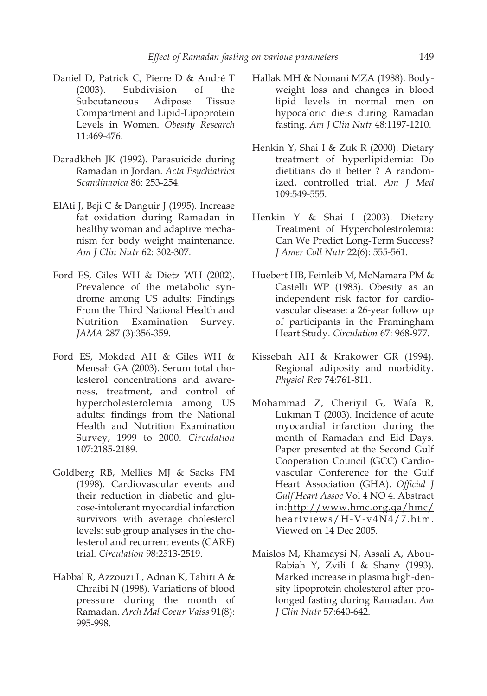- Daniel D, Patrick C, Pierre D & André T (2003). Subdivision of the Subcutaneous Adipose Tissue Compartment and Lipid-Lipoprotein Levels in Women. *Obesity Research* 11:469-476.
- Daradkheh JK (1992). Parasuicide during Ramadan in Jordan. *Acta Psychiatrica Scandinavica* 86: 253-254.
- ElAti J, Beji C & Danguir J (1995). Increase fat oxidation during Ramadan in healthy woman and adaptive mechanism for body weight maintenance. *Am J Clin Nutr* 62: 302-307.
- Ford ES, Giles WH & Dietz WH (2002). Prevalence of the metabolic syndrome among US adults: Findings From the Third National Health and Nutrition Examination Survey. *JAMA* 287 (3):356-359.
- Ford ES, Mokdad AH & Giles WH & Mensah GA (2003). Serum total cholesterol concentrations and awareness, treatment, and control of hypercholesterolemia among US adults: findings from the National Health and Nutrition Examination Survey, 1999 to 2000. *Circulation* 107:2185-2189.
- Goldberg RB, Mellies MJ & Sacks FM (1998). Cardiovascular events and their reduction in diabetic and glucose-intolerant myocardial infarction survivors with average cholesterol levels: sub group analyses in the cholesterol and recurrent events (CARE) trial. *Circulation* 98:2513-2519.
- Habbal R, Azzouzi L, Adnan K, Tahiri A & Chraibi N (1998). Variations of blood pressure during the month of Ramadan. *Arch Mal Coeur Vaiss* 91(8): 995-998.
- Hallak MH & Nomani MZA (1988). Bodyweight loss and changes in blood lipid levels in normal men on hypocaloric diets during Ramadan fasting. *Am J Clin Nutr* 48:1197-1210.
- Henkin Y, Shai I & Zuk R (2000). Dietary treatment of hyperlipidemia: Do dietitians do it better ? A randomized, controlled trial. *Am J Med* 109:549-555.
- Henkin Y & Shai I (2003). Dietary Treatment of Hypercholestrolemia: Can We Predict Long-Term Success? *J Amer Coll Nutr* 22(6): 555-561.
- Huebert HB, Feinleib M, McNamara PM & Castelli WP (1983). Obesity as an independent risk factor for cardiovascular disease: a 26-year follow up of participants in the Framingham Heart Study. *Circulation* 67: 968-977.
- Kissebah AH & Krakower GR (1994). Regional adiposity and morbidity. *Physiol Rev* 74:761-811.
- Mohammad Z, Cheriyil G, Wafa R, Lukman T (2003). Incidence of acute myocardial infarction during the month of Ramadan and Eid Days. Paper presented at the Second Gulf Cooperation Council (GCC) Cardiovascular Conference for the Gulf Heart Association (GHA). *Official J Gulf Heart Assoc* Vol 4 NO 4. Abstract in:http://www.hmc.org.qa/hmc/ heartviews/H-V-v4N4/7.htm. Viewed on 14 Dec 2005.
- Maislos M, Khamaysi N, Assali A, Abou-Rabiah Y, Zvili I & Shany (1993). Marked increase in plasma high-density lipoprotein cholesterol after prolonged fasting during Ramadan. *Am J Clin Nutr* 57:640-642.